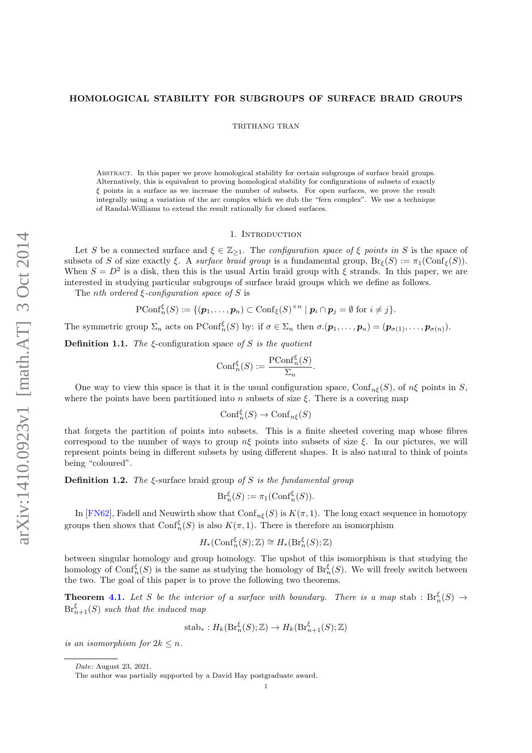# <span id="page-0-1"></span><span id="page-0-0"></span>HOMOLOGICAL STABILITY FOR SUBGROUPS OF SURFACE BRAID GROUPS

TRITHANG TRAN

Abstract. In this paper we prove homological stability for certain subgroups of surface braid groups. Alternatively, this is equivalent to proving homological stability for configurations of subsets of exactly ξ points in a surface as we increase the number of subsets. For open surfaces, we prove the result integrally using a variation of the arc complex which we dub the "fern complex". We use a technique of Randal-Williams to extend the result rationally for closed surfaces.

## 1. INTRODUCTION

Let S be a connected surface and  $\xi \in \mathbb{Z}_{\geq 1}$ . The *configuration space of*  $\xi$  points in S is the space of subsets of S of size exactly  $\xi$ . A surface braid group is a fundamental group,  $Br_{\xi}(S) := \pi_1(\text{Conf}_{\xi}(S)).$ When  $S = D^2$  is a disk, then this is the usual Artin braid group with  $\xi$  strands. In this paper, we are interested in studying particular subgroups of surface braid groups which we define as follows.

The *nth* ordered  $\xi$ -configuration space of S is

$$
\text{PConf}_n^{\xi}(S) := \{(\boldsymbol{p}_1, \ldots, \boldsymbol{p}_n) \subset \text{Conf}_{\xi}(S)^{\times n} \mid \boldsymbol{p}_i \cap \boldsymbol{p}_j = \emptyset \text{ for } i \neq j\}.
$$

The symmetric group  $\Sigma_n$  acts on PConf<sub>n</sub><sup>5</sup>(S) by: if  $\sigma \in \Sigma_n$  then  $\sigma.(p_1,\ldots,p_n) = (p_{\sigma(1)},\ldots,p_{\sigma(n)})$ .

**Definition 1.1.** The  $\xi$ -configuration space of S is the quotient

$$
Conf_n^{\xi}(S) := \frac{\text{PConf}_n^{\xi}(S)}{\Sigma_n}.
$$

One way to view this space is that it is the usual configuration space, Conf<sub>n</sub> $(\tilde{S})$ , of  $n\xi$  points in  $\tilde{S}$ , where the points have been partitioned into n subsets of size  $\xi$ . There is a covering map

$$
\mathrm{Conf}_n^{\xi}(S) \to \mathrm{Conf}_{n\xi}(S)
$$

that forgets the partition of points into subsets. This is a finite sheeted covering map whose fibres correspond to the number of ways to group  $n\xi$  points into subsets of size  $\xi$ . In our pictures, we will represent points being in different subsets by using different shapes. It is also natural to think of points being "coloured".

**Definition 1.2.** The  $\xi$ -surface braid group of S is the fundamental group

$$
\mathrm{Br}_n^{\xi}(S) := \pi_1(\mathrm{Conf}_n^{\xi}(S)).
$$

In [\[FN62\]](#page-9-0), Fadell and Neuwirth show that  $\text{Conf}_{n\xi}(S)$  is  $K(\pi, 1)$ . The long exact sequence in homotopy groups then shows that  $\text{Conf}_n^{\xi}(S)$  is also  $K(\pi, 1)$ . There is therefore an isomorphism

$$
H_*(\mathrm{Conf}_n^{\xi}(S); \mathbb{Z}) \cong H_*(\mathrm{Br}_n^{\xi}(S); \mathbb{Z})
$$

between singular homology and group homology. The upshot of this isomorphism is that studying the homology of  $\text{Conf}_n^{\xi}(S)$  is the same as studying the homology of  $\text{Br}_n^{\xi}(S)$ . We will freely switch between the two. The goal of this paper is to prove the following two theorems.

**Theorem [4.1.](#page-5-0)** Let S be the interior of a surface with boundary. There is a map stab :  $Br_n^{\xi}(S) \rightarrow$  $\mathrm{Br}^\xi_{n+1}(S)$  such that the induced map

$$
\mathrm{stab}_{*}: H_{k}(\mathrm{Br}_{n}^{\xi}(S); \mathbb{Z}) \to H_{k}(\mathrm{Br}_{n+1}^{\xi}(S); \mathbb{Z})
$$

is an isomorphism for  $2k \leq n$ .

Date: August 23, 2021.

The author was partially supported by a David Hay postgraduate award.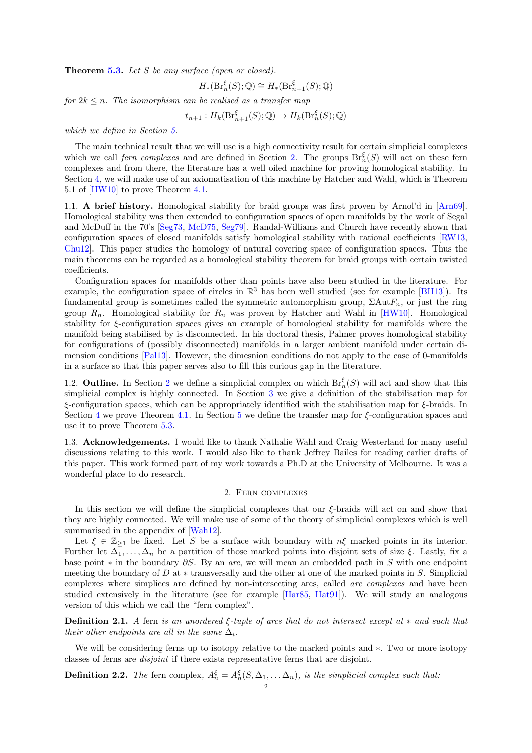<span id="page-1-2"></span>Theorem [5.3.](#page-7-0) Let S be any surface (open or closed).

$$
H_*(\mathrm{Br}^\xi_n(S);{\mathbb Q})\cong H_*(\mathrm{Br}^\xi_{n+1}(S);{\mathbb Q})
$$

for  $2k \leq n$ . The isomorphism can be realised as a transfer map

$$
t_{n+1}: H_k(\mathrm{Br}_{n+1}^{\xi}(S); \mathbb{Q}) \to H_k(\mathrm{Br}_{n}^{\xi}(S); \mathbb{Q})
$$

which we define in Section [5.](#page-6-0)

The main technical result that we will use is a high connectivity result for certain simplicial complexes which we call *fern complexes* and are defined in Section [2.](#page-1-0) The groups  $Br_n^{\xi}(S)$  will act on these fern complexes and from there, the literature has a well oiled machine for proving homological stability. In Section [4,](#page-5-1) we will make use of an axiomatisation of this machine by Hatcher and Wahl, which is Theorem 5.1 of [\[HW10\]](#page-9-1) to prove Theorem [4.1.](#page-5-0)

1.1. A brief history. Homological stability for braid groups was first proven by Arnol'd in [\[Arn69\]](#page-9-2). Homological stability was then extended to configuration spaces of open manifolds by the work of Segal and McDuff in the 70's [\[Seg73,](#page-9-3) [McD75,](#page-9-4) [Seg79\]](#page-9-5). Randal-Williams and Church have recently shown that configuration spaces of closed manifolds satisfy homological stability with rational coefficients [\[RW13,](#page-9-6) [Chu12\]](#page-9-7). This paper studies the homology of natural covering space of configuration spaces. Thus the main theorems can be regarded as a homological stability theorem for braid groups with certain twisted coefficients.

Configuration spaces for manifolds other than points have also been studied in the literature. For example, the configuration space of circles in  $\mathbb{R}^3$  has been well studied (see for example [\[BH13\]](#page-9-8)). Its fundamental group is sometimes called the symmetric automorphism group,  $\Sigma \text{Aut}F_n$ , or just the ring group  $R_n$ . Homological stability for  $R_n$  was proven by Hatcher and Wahl in [\[HW10\]](#page-9-1). Homological stability for ξ-configuration spaces gives an example of homological stability for manifolds where the manifold being stabilised by is disconnected. In his doctoral thesis, Palmer proves homological stability for configurations of (possibly disconnected) manifolds in a larger ambient manifold under certain dimension conditions [\[Pal13\]](#page-9-9). However, the dimesnion conditions do not apply to the case of 0-manifolds in a surface so that this paper serves also to fill this curious gap in the literature.

1.[2](#page-1-0). **Outline.** In Section 2 we define a simplicial complex on which  $Br_n^{\xi}(S)$  will act and show that this simplicial complex is highly connected. In Section [3](#page-4-0) we give a definition of the stabilisation map for  $\epsilon$ -configuration spaces, which can be appropriately identified with the stabilisation map for  $\epsilon$ -braids. In Section [4](#page-5-1) we prove Theorem [4.1.](#page-5-0) In Section [5](#page-6-0) we define the transfer map for  $\xi$ -configuration spaces and use it to prove Theorem [5.3.](#page-7-0)

1.3. Acknowledgements. I would like to thank Nathalie Wahl and Craig Westerland for many useful discussions relating to this work. I would also like to thank Jeffrey Bailes for reading earlier drafts of this paper. This work formed part of my work towards a Ph.D at the University of Melbourne. It was a wonderful place to do research.

# 2. Fern complexes

<span id="page-1-0"></span>In this section we will define the simplicial complexes that our ξ-braids will act on and show that they are highly connected. We will make use of some of the theory of simplicial complexes which is well summarised in the appendix of [\[Wah12\]](#page-9-10).

Let  $\xi \in \mathbb{Z}_{\geq 1}$  be fixed. Let S be a surface with boundary with  $n\xi$  marked points in its interior. Further let  $\Delta_1, \ldots, \Delta_n$  be a partition of those marked points into disjoint sets of size  $\xi$ . Lastly, fix a base point  $*$  in the boundary  $\partial S$ . By an arc, we will mean an embedded path in S with one endpoint meeting the boundary of D at  $*$  transversally and the other at one of the marked points in S. Simplicial complexes where simplices are defined by non-intersecting arcs, called arc complexes and have been studied extensively in the literature (see for example [\[Har85,](#page-9-11) [Hat91\]](#page-9-12)). We will study an analogous version of this which we call the "fern complex".

Definition 2.1. A fern is an unordered ξ-tuple of arcs that do not intersect except at ∗ and such that their other endpoints are all in the same  $\Delta_i$ .

We will be considering ferns up to isotopy relative to the marked points and ∗. Two or more isotopy classes of ferns are disjoint if there exists representative ferns that are disjoint.

<span id="page-1-1"></span>**Definition 2.2.** The fern complex,  $A_n^{\xi} = A_n^{\xi}(S, \Delta_1, \dots, \Delta_n)$ , is the simplicial complex such that: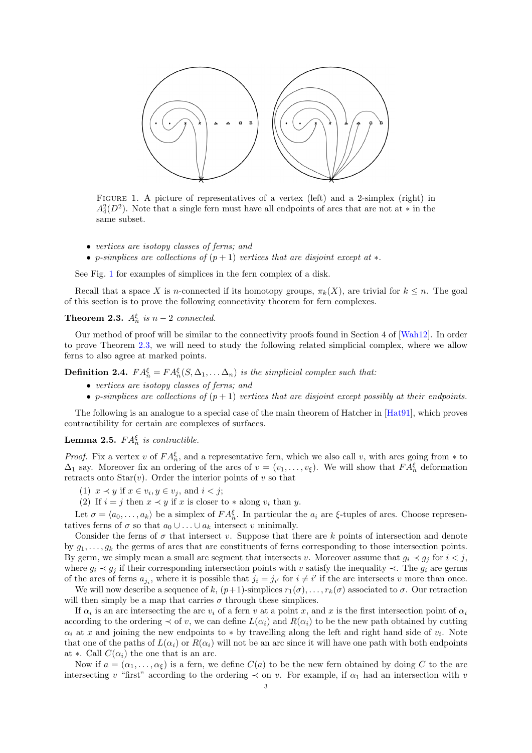<span id="page-2-4"></span><span id="page-2-0"></span>

FIGURE 1. A picture of representatives of a vertex (left) and a 2-simplex (right) in  $A_4^2(D^2)$ . Note that a single fern must have all endpoints of arcs that are not at \* in the same subset.

- vertices are isotopy classes of ferns; and
- p-simplices are collections of  $(p+1)$  vertices that are disjoint except at  $*$ .

See Fig. [1](#page-2-0) for examples of simplices in the fern complex of a disk.

Recall that a space X is n-connected if its homotopy groups,  $\pi_k(X)$ , are trivial for  $k \leq n$ . The goal of this section is to prove the following connectivity theorem for fern complexes.

<span id="page-2-1"></span>**Theorem 2.3.**  $A_n^{\xi}$  is  $n-2$  connected.

Our method of proof will be similar to the connectivity proofs found in Section 4 of [\[Wah12\]](#page-9-10). In order to prove Theorem [2.3,](#page-2-1) we will need to study the following related simplicial complex, where we allow ferns to also agree at marked points.

<span id="page-2-2"></span>**Definition 2.4.**  $FA_n^{\xi} = FA_n^{\xi}(S, \Delta_1, \ldots \Delta_n)$  is the simplicial complex such that:

- vertices are isotopy classes of ferns; and
- p-simplices are collections of  $(p+1)$  vertices that are disjoint except possibly at their endpoints.

The following is an analogue to a special case of the main theorem of Hatcher in [\[Hat91\]](#page-9-12), which proves contractibility for certain arc complexes of surfaces.

# <span id="page-2-3"></span>**Lemma 2.5.**  $FA_n^{\xi}$  is contractible.

*Proof.* Fix a vertex v of  $FA_n^{\xi}$ , and a representative fern, which we also call v, with arcs going from  $*$  to  $\Delta_1$  say. Moreover fix an ordering of the arcs of  $v = (v_1, \ldots, v_{\xi})$ . We will show that  $FA_n^{\xi}$  deformation retracts onto  $Star(v)$ . Order the interior points of v so that

- (1)  $x \prec y$  if  $x \in v_i, y \in v_j$ , and  $i < j$ ;
- (2) If  $i = j$  then  $x \prec y$  if x is closer to  $*$  along  $v_i$  than y.

Let  $\sigma = \langle a_0, \ldots, a_k \rangle$  be a simplex of  $FA_n^{\xi}$ . In particular the  $a_i$  are  $\xi$ -tuples of arcs. Choose representatives ferns of  $\sigma$  so that  $a_0 \cup \ldots \cup a_k$  intersect v minimally.

Consider the ferns of  $\sigma$  that intersect v. Suppose that there are k points of intersection and denote by  $g_1, \ldots, g_k$  the germs of arcs that are constituents of ferns corresponding to those intersection points. By germ, we simply mean a small arc segment that intersects v. Moreover assume that  $g_i \prec g_j$  for  $i < j$ , where  $g_i \prec g_j$  if their corresponding intersection points with v satisfy the inequality  $\prec$ . The  $g_i$  are germs of the arcs of ferns  $a_{j_i}$ , where it is possible that  $j_i = j_{i'}$  for  $i \neq i'$  if the arc intersects v more than once.

We will now describe a sequence of k,  $(p+1)$ -simplices  $r_1(\sigma), \ldots, r_k(\sigma)$  associated to  $\sigma$ . Our retraction will then simply be a map that carries  $\sigma$  through these simplices.

If  $\alpha_i$  is an arc intersecting the arc  $v_i$  of a fern v at a point x, and x is the first intersection point of  $\alpha_i$ according to the ordering  $\prec$  of v, we can define  $L(\alpha_i)$  and  $R(\alpha_i)$  to be the new path obtained by cutting  $\alpha_i$  at x and joining the new endpoints to  $*$  by travelling along the left and right hand side of  $v_i$ . Note that one of the paths of  $L(\alpha_i)$  or  $R(\alpha_i)$  will not be an arc since it will have one path with both endpoints at ∗. Call  $C(\alpha_i)$  the one that is an arc.

Now if  $a = (\alpha_1, \ldots, \alpha_\xi)$  is a fern, we define  $C(a)$  to be the new fern obtained by doing C to the arc intersecting v "first" according to the ordering  $\prec$  on v. For example, if  $\alpha_1$  had an intersection with v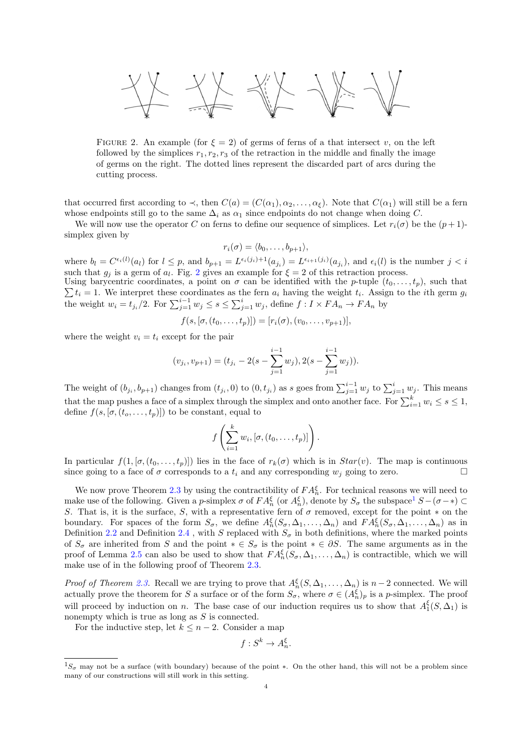<span id="page-3-0"></span>

FIGURE 2. An example (for  $\xi = 2$ ) of germs of ferns of a that intersect v, on the left followed by the simplices  $r_1, r_2, r_3$  of the retraction in the middle and finally the image of germs on the right. The dotted lines represent the discarded part of arcs during the cutting process.

that occurred first according to  $\prec$ , then  $C(a) = (C(\alpha_1), \alpha_2, \ldots, \alpha_{\xi})$ . Note that  $C(\alpha_1)$  will still be a fern whose endpoints still go to the same  $\Delta_i$  as  $\alpha_1$  since endpoints do not change when doing C.

We will now use the operator C on ferns to define our sequence of simplices. Let  $r_i(\sigma)$  be the  $(p+1)$ simplex given by

$$
r_i(\sigma) = \langle b_0, \ldots, b_{p+1} \rangle,
$$

where  $b_l = C^{\epsilon_i(l)}(a_l)$  for  $l \leq p$ , and  $b_{p+1} = L^{\epsilon_i(j_i)+1}(a_{j_i}) = L^{\epsilon_{i+1}(j_i)}(a_{j_i})$ , and  $\epsilon_i(l)$  is the number  $j < i$ such that  $g_j$  is a germ of  $a_l$ . Fig. [2](#page-3-0) gives an example for  $\xi = 2$  of this retraction process.

 $\sum t_i = 1$ . We interpret these coordinates as the fern  $a_i$  having the weight  $t_i$ . Assign to the *i*th germ  $g_i$ Using barycentric coordinates, a point on  $\sigma$  can be identified with the p-tuple  $(t_0, \ldots, t_p)$ , such that the weight  $w_i = t_{j_i}/2$ . For  $\sum_{j=1}^{i-1} w_j \leq s \leq \sum_{j=1}^{i} w_j$ , define  $f: I \times FA_n \to FA_n$  by

$$
f(s, [\sigma, (t_0, ..., t_p)]) = [r_i(\sigma), (v_0, ..., v_{p+1})],
$$

where the weight  $v_i = t_i$  except for the pair

$$
(v_{j_i}, v_{p+1}) = (t_{j_i} - 2(s - \sum_{j=1}^{i-1} w_j), 2(s - \sum_{j=1}^{i-1} w_j)).
$$

The weight of  $(b_{j_i}, b_{p+1})$  changes from  $(t_{j_i}, 0)$  to  $(0, t_{j_i})$  as s goes from  $\sum_{j=1}^{i-1} w_j$  to  $\sum_{j=1}^{i} w_j$ . This means that the map pushes a face of a simplex through the simplex and onto another face. For  $\sum_{i=1}^{k} w_i \leq s \leq 1$ , define  $f(s, [\sigma, (t_o, \ldots, t_p)])$  to be constant, equal to

$$
f\left(\sum_{i=1}^k w_i, [\sigma, (t_0,\ldots,t_p)]\right).
$$

In particular  $f(1, [\sigma, (t_0, \ldots, t_p)])$  lies in the face of  $r_k(\sigma)$  which is in  $Star(v)$ . The map is continuous since going to a face of  $\sigma$  corresponds to a  $t_i$  and any corresponding  $w_j$  going to zero.

We now prove Theorem [2.3](#page-2-1) by using the contractibility of  $FA_n^{\xi}$ . For technical reasons we will need to make use of the following. Given a p-simplex  $\sigma$  of  $FA_n^{\xi}$  (or  $A_n^{\xi}$ ), denote by  $S_{\sigma}$  the subspace<sup>[1](#page-0-0)</sup>  $S-(\sigma-\ast) \subset$ S. That is, it is the surface, S, with a representative fern of  $\sigma$  removed, except for the point  $*$  on the boundary. For spaces of the form  $S_{\sigma}$ , we define  $A_n^{\xi}(S_{\sigma}, \Delta_1, \ldots, \Delta_n)$  and  $FA_n^{\xi}(S_{\sigma}, \Delta_1, \ldots, \Delta_n)$  as in Definition [2.2](#page-1-1) and Definition [2.4](#page-2-2), with S replaced with  $S_{\sigma}$  in both definitions, where the marked points of  $S_{\sigma}$  are inherited from S and the point  $* \in S_{\sigma}$  is the point  $* \in \partial S$ . The same arguments as in the proof of Lemma [2.5](#page-2-3) can also be used to show that  $FA_n^{\xi}(S_{\sigma}, \Delta_1, \ldots, \Delta_n)$  is contractible, which we will make use of in the following proof of Theorem [2.3.](#page-2-1)

*Proof of Theorem [2.3.](#page-2-1)* Recall we are trying to prove that  $A_n^{\xi}(S, \Delta_1, ..., \Delta_n)$  is  $n-2$  connected. We will actually prove the theorem for S a surface or of the form  $S_{\sigma}$ , where  $\sigma \in (A_n^{\xi})_p$  is a p-simplex. The proof will proceed by induction on n. The base case of our induction requires us to show that  $A_1^{\xi}(S, \Delta_1)$  is nonempty which is true as long as  $S$  is connected.

For the inductive step, let  $k \leq n-2$ . Consider a map

$$
f: S^k \to A_n^{\xi}.
$$

 $1S_{\sigma}$  may not be a surface (with boundary) because of the point \*. On the other hand, this will not be a problem since many of our constructions will still work in this setting.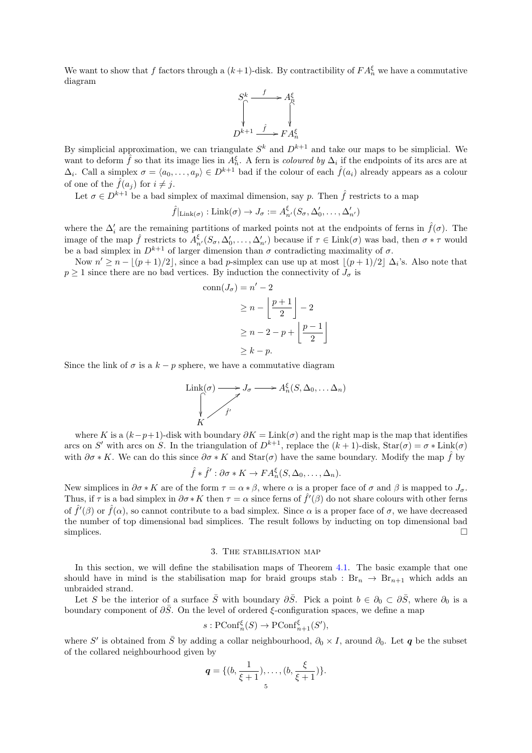We want to show that f factors through a  $(k+1)$ -disk. By contractibility of  $FA_n^{\xi}$  we have a commutative diagram



By simplicial approximation, we can triangulate  $S<sup>k</sup>$  and  $D<sup>k+1</sup>$  and take our maps to be simplicial. We want to deform  $\hat{f}$  so that its image lies in  $A_n^{\xi}$ . A fern is *coloured by*  $\Delta_i$  if the endpoints of its arcs are at  $\Delta_i$ . Call a simplex  $\sigma = \langle a_0, \ldots, a_p \rangle \in D^{k+1}$  bad if the colour of each  $\hat{f}(a_i)$  already appears as a colour of one of the  $\hat{f}(a_i)$  for  $i \neq j$ .

Let  $\sigma \in D^{k+1}$  be a bad simplex of maximal dimension, say p. Then  $\hat{f}$  restricts to a map

$$
\hat{f}|_{\text{Link}(\sigma)}:\text{Link}(\sigma)\to J_{\sigma}:=A_{n'}^{\xi}(S_{\sigma},\Delta'_0,\ldots,\Delta'_{n'})
$$

where the  $\Delta_i'$  are the remaining partitions of marked points not at the endpoints of ferns in  $\hat{f}(\sigma)$ . The image of the map  $\hat{f}$  restricts to  $A_{n'}^{\xi}(S_{\sigma}, \Delta'_0, \ldots, \Delta'_{n'})$  because if  $\tau \in \text{Link}(\sigma)$  was bad, then  $\sigma * \tau$  would be a bad simplex in  $D^{k+1}$  of larger dimension than  $\sigma$  contradicting maximality of  $\sigma$ .

Now  $n' \ge n - \lfloor (p+1)/2 \rfloor$ , since a bad p-simplex can use up at most  $\lfloor (p+1)/2 \rfloor$   $\Delta_i$ 's. Also note that  $p \geq 1$  since there are no bad vertices. By induction the connectivity of  $J_{\sigma}$  is

$$
\operatorname{conn}(J_{\sigma}) = n' - 2
$$
  
\n
$$
\ge n - \left\lfloor \frac{p+1}{2} \right\rfloor - 2
$$
  
\n
$$
\ge n - 2 - p + \left\lfloor \frac{p-1}{2} \right\rfloor
$$
  
\n
$$
\ge k - p.
$$

Since the link of  $\sigma$  is a  $k - p$  sphere, we have a commutative diagram

$$
\text{Link}(\sigma) \longrightarrow J_{\sigma} \longrightarrow A_n^{\xi}(S, \Delta_0, \dots \Delta_n)
$$
\n
$$
\downarrow \qquad \qquad K
$$

where K is a  $(k-p+1)$ -disk with boundary  $\partial K = \text{Link}(\sigma)$  and the right map is the map that identifies arcs on S' with arcs on S. In the triangulation of  $D^{k+1}$ , replace the  $(k+1)$ -disk,  $\text{Star}(\sigma) = \sigma * \text{Link}(\sigma)$ with  $\partial \sigma * K$ . We can do this since  $\partial \sigma * K$  and  $\text{Star}(\sigma)$  have the same boundary. Modify the map  $\hat{f}$  by

$$
\hat{f} * \hat{f}' : \partial \sigma * K \to FA_n^{\xi}(S, \Delta_0, \dots, \Delta_n).
$$

New simplices in  $\partial \sigma * K$  are of the form  $\tau = \alpha * \beta$ , where  $\alpha$  is a proper face of  $\sigma$  and  $\beta$  is mapped to  $J_{\sigma}$ . Thus, if  $\tau$  is a bad simplex in  $\partial \sigma * K$  then  $\tau = \alpha$  since ferns of  $\hat{f}'(\beta)$  do not share colours with other ferns of  $\hat{f}'(\beta)$  or  $\hat{f}(\alpha)$ , so cannot contribute to a bad simplex. Since  $\alpha$  is a proper face of  $\sigma$ , we have decreased the number of top dimensional bad simplices. The result follows by inducting on top dimensional bad simplices.  $\Box$ 

#### 3. The stabilisation map

<span id="page-4-0"></span>In this section, we will define the stabilisation maps of Theorem [4.1.](#page-5-0) The basic example that one should have in mind is the stabilisation map for braid groups stab :  $Br_n \rightarrow Br_{n+1}$  which adds an unbraided strand.

Let S be the interior of a surface  $\overline{S}$  with boundary  $\partial \overline{S}$ . Pick a point  $b \in \partial_0 \subset \partial \overline{S}$ , where  $\partial_0$  is a boundary component of  $\partial \overline{S}$ . On the level of ordered  $\xi$ -configuration spaces, we define a map

$$
s: \text{PConf}_n^{\xi}(S) \to \text{PConf}_{n+1}^{\xi}(S'),
$$

where S' is obtained from  $\bar{S}$  by adding a collar neighbourhood,  $\partial_0 \times I$ , around  $\partial_0$ . Let **q** be the subset of the collared neighbourhood given by

$$
\mathbf{q} = \{ (b, \frac{1}{\xi+1}), \ldots, (b, \frac{\xi}{\xi+1}) \}.
$$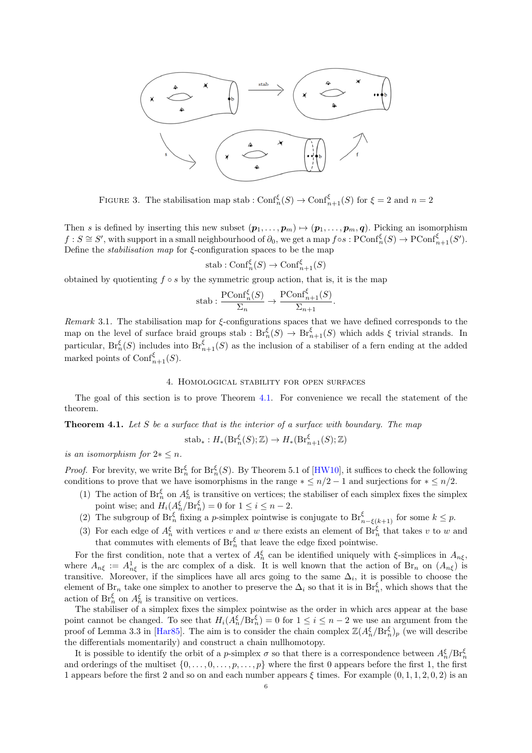<span id="page-5-2"></span>

FIGURE 3. The stabilisation map stab :  $\text{Conf}_n^{\xi}(S) \to \text{Conf}_{n+1}^{\xi}(S)$  for  $\xi = 2$  and  $n = 2$ 

Then s is defined by inserting this new subset  $(p_1, \ldots, p_m) \mapsto (p_1, \ldots, p_m, q)$ . Picking an isomorphism  $f: S \cong S'$ , with support in a small neighbourhood of  $\partial_0$ , we get a map  $f \circ s: \text{PConf}_n^{\xi}(S) \to \text{PConf}_{n+1}^{\xi}(S')$ . Define the *stabilisation map* for  $\xi$ -configuration spaces to be the map

$$
stab : Conf_n^{\xi}(S) \to Conf_{n+1}^{\xi}(S)
$$

obtained by quotienting  $f \circ s$  by the symmetric group action, that is, it is the map

$$
\text{stab}: \frac{\text{PConf}_n^{\xi}(S)}{\Sigma_n} \to \frac{\text{PConf}_{n+1}^{\xi}(S)}{\Sigma_{n+1}}.
$$

Remark 3.1. The stabilisation map for  $\xi$ -configurations spaces that we have defined corresponds to the map on the level of surface braid groups stab :  $Br_n^{\xi}(S) \to Br_{n+1}^{\xi}(S)$  which adds  $\xi$  trivial strands. In particular,  $Br_n^{\xi}(S)$  includes into  $Br_{n+1}^{\xi}(S)$  as the inclusion of a stabiliser of a fern ending at the added marked points of  $\text{Conf}_{n+1}^{\xi}(S)$ .

### 4. Homological stability for open surfaces

<span id="page-5-1"></span>The goal of this section is to prove Theorem [4.1.](#page-5-0) For convenience we recall the statement of the theorem.

<span id="page-5-0"></span>**Theorem 4.1.** Let  $S$  be a surface that is the interior of a surface with boundary. The map

$$
\mathrm{stab}_*: H_*(\mathrm{Br}_n^\xi(S); \mathbb{Z}) \to H_*(\mathrm{Br}_{n+1}^\xi(S); \mathbb{Z})
$$

is an isomorphism for  $2 \ast \leq n$ .

*Proof.* For brevity, we write  $\text{Br}_n^{\xi}$  for  $\text{Br}_n^{\xi}(S)$ . By Theorem 5.1 of [\[HW10\]](#page-9-1), it suffices to check the following conditions to prove that we have isomorphisms in the range  $* \leq n/2 - 1$  and surjections for  $* \leq n/2$ .

- (1) The action of  $Br_n^{\xi}$  on  $A_n^{\xi}$  is transitive on vertices; the stabiliser of each simplex fixes the simplex point wise; and  $H_i(A_n^{\xi}/Br_n^{\xi}) = 0$  for  $1 \leq i \leq n-2$ .
- (2) The subgroup of  $\text{Br}_n^{\xi}$  fixing a *p*-simplex pointwise is conjugate to  $\text{Br}_{n-\xi(k+1)}^{\xi}$  for some  $k \leq p$ .
- (3) For each edge of  $A_n^{\xi}$  with vertices v and w there exists an element of  $\text{Br}_n^{\xi}$  that takes v to w and that commutes with elements of  $\text{Br}_n^{\xi}$  that leave the edge fixed pointwise.

For the first condition, note that a vertex of  $A_n^{\xi}$  can be identified uniquely with  $\xi$ -simplices in  $A_{n\xi}$ , where  $A_{n\xi} := A_{n\xi}^1$  is the arc complex of a disk. It is well known that the action of Br<sub>n</sub> on  $(A_{n\xi})$  is transitive. Moreover, if the simplices have all arcs going to the same  $\Delta_i$ , it is possible to choose the element of Br<sub>n</sub> take one simplex to another to preserve the  $\Delta_i$  so that it is in Br<sub>n</sub><sup>5</sup>, which shows that the action of  $\text{Br}_n^{\xi}$  on  $A_n^{\xi}$  is transitive on vertices.

The stabiliser of a simplex fixes the simplex pointwise as the order in which arcs appear at the base point cannot be changed. To see that  $H_i(A_n^{\xi}/B_r^{\xi}) = 0$  for  $1 \leq i \leq n-2$  we use an argument from the proof of Lemma 3.3 in [\[Har85\]](#page-9-11). The aim is to consider the chain complex  $\mathbb{Z}(A_n^{\xi}/Br_n^{\xi})_p$  (we will describe the differentials momentarily) and construct a chain nullhomotopy.

It is possible to identify the orbit of a *p*-simplex  $\sigma$  so that there is a correspondence between  $A_n^{\xi}/B_r^{\xi}$ and orderings of the multiset  $\{0, \ldots, 0, \ldots, p, \ldots, p\}$  where the first 0 appears before the first 1, the first 1 appears before the first 2 and so on and each number appears  $\xi$  times. For example  $(0, 1, 1, 2, 0, 2)$  is an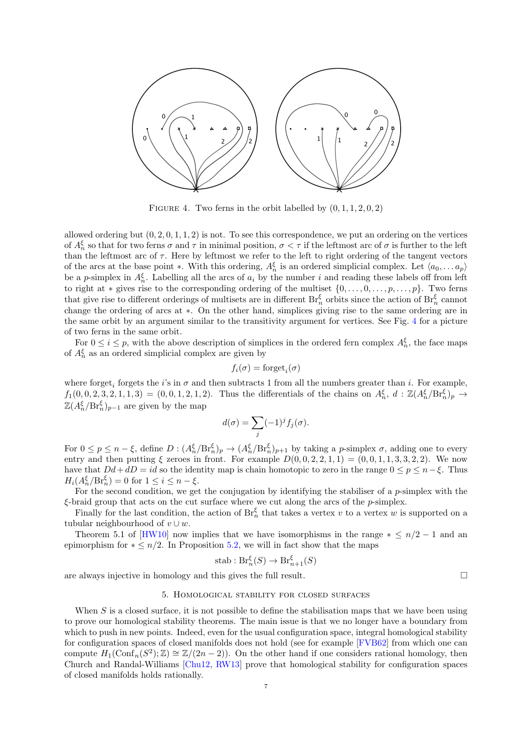<span id="page-6-2"></span><span id="page-6-1"></span>

FIGURE 4. Two ferns in the orbit labelled by  $(0, 1, 1, 2, 0, 2)$ 

allowed ordering but  $(0, 2, 0, 1, 1, 2)$  is not. To see this correspondence, we put an ordering on the vertices of  $A_n^{\xi}$  so that for two ferns  $\sigma$  and  $\tau$  in minimal position,  $\sigma < \tau$  if the leftmost arc of  $\sigma$  is further to the left than the leftmost arc of  $\tau$ . Here by leftmost we refer to the left to right ordering of the tangent vectors of the arcs at the base point ∗. With this ordering,  $A_n^{\xi}$  is an ordered simplicial complex. Let  $\langle a_0, \ldots a_p \rangle$ be a p-simplex in  $A_n^{\xi}$ . Labelling all the arcs of  $a_i$  by the number i and reading these labels off from left to right at  $*$  gives rise to the corresponding ordering of the multiset  $\{0, \ldots, 0, \ldots, p, \ldots, p\}$ . Two ferns that give rise to different orderings of multisets are in different  $Br_n^{\xi}$  orbits since the action of  $Br_n^{\xi}$  cannot change the ordering of arcs at ∗. On the other hand, simplices giving rise to the same ordering are in the same orbit by an argument similar to the transitivity argument for vertices. See Fig. [4](#page-6-1) for a picture of two ferns in the same orbit.

For  $0 \le i \le p$ , with the above description of simplices in the ordered fern complex  $A_n^{\xi}$ , the face maps of  $A_n^{\xi}$  as an ordered simplicial complex are given by

$$
f_i(\sigma) = \text{forget}_i(\sigma)
$$

where forget<sub>i</sub> forgets the *i*'s in  $\sigma$  and then subtracts 1 from all the numbers greater than *i*. For example,  $f_1(0, 0, 2, 3, 2, 1, 1, 3) = (0, 0, 1, 2, 1, 2)$ . Thus the differentials of the chains on  $A_n^{\xi}, d : \mathbb{Z}(A_n^{\xi}/Br_n^{\xi})_p \to$  $\mathbb{Z}(A_n^{\xi}/\text{Br}_n^{\xi})_{p-1}$  are given by the map

$$
d(\sigma) = \sum_j (-1)^j f_j(\sigma).
$$

For  $0 \le p \le n - \xi$ , define  $D: (A_n^{\xi}/Br_n^{\xi})_p \to (A_n^{\xi}/Br_n^{\xi})_{p+1}$  by taking a *p*-simplex  $\sigma$ , adding one to every entry and then putting  $\xi$  zeroes in front. For example  $D(0, 0, 2, 2, 1, 1) = (0, 0, 1, 1, 3, 3, 2, 2)$ . We now have that  $Dd+dD = id$  so the identity map is chain homotopic to zero in the range  $0 \le p \le n-\xi$ . Thus  $H_i(A_n^{\xi}/\text{Br}_n^{\xi}) = 0$  for  $1 \leq i \leq n - \xi$ .

For the second condition, we get the conjugation by identifying the stabiliser of a  $p$ -simplex with the  $\xi$ -braid group that acts on the cut surface where we cut along the arcs of the  $p$ -simplex.

Finally for the last condition, the action of  $\text{Br}_n^{\xi}$  that takes a vertex v to a vertex w is supported on a tubular neighbourhood of  $v \cup w$ .

Theorem 5.1 of [\[HW10\]](#page-9-1) now implies that we have isomorphisms in the range  $* \leq n/2 - 1$  and an epimorphism for  $* \leq n/2$ . In Proposition [5.2,](#page-7-1) we will in fact show that the maps

stab : 
$$
\text{Br}_n^{\xi}(S) \to \text{Br}_{n+1}^{\xi}(S)
$$

<span id="page-6-0"></span>are always injective in homology and this gives the full result.  $\Box$ 

#### 5. Homological stability for closed surfaces

When  $S$  is a closed surface, it is not possible to define the stabilisation maps that we have been using to prove our homological stability theorems. The main issue is that we no longer have a boundary from which to push in new points. Indeed, even for the usual configuration space, integral homological stability for configuration spaces of closed manifolds does not hold (see for example [\[FVB62\]](#page-9-13) from which one can compute  $H_1(\text{Conf}_n(S^2); \mathbb{Z}) \cong \mathbb{Z}/(2n-2)$ . On the other hand if one considers rational homology, then Church and Randal-Williams [\[Chu12,](#page-9-7) [RW13\]](#page-9-6) prove that homological stability for configuration spaces of closed manifolds holds rationally.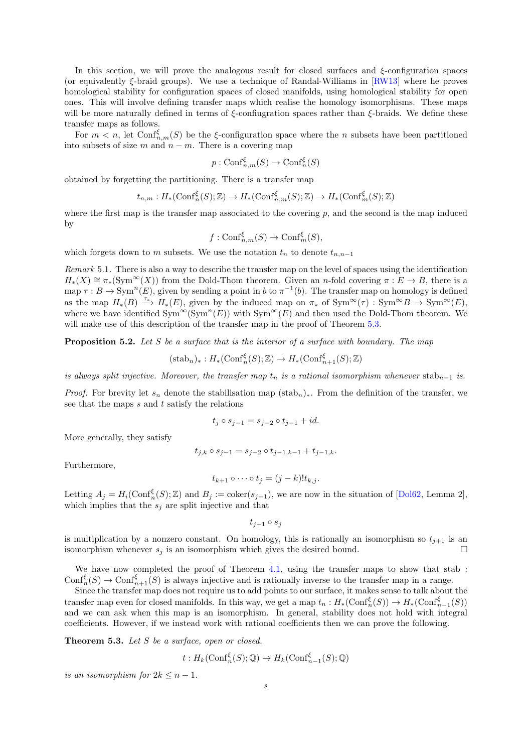<span id="page-7-2"></span>In this section, we will prove the analogous result for closed surfaces and  $\xi$ -configuration spaces (or equivalently  $\xi$ -braid groups). We use a technique of Randal-Williams in [\[RW13\]](#page-9-6) where he proves homological stability for configuration spaces of closed manifolds, using homological stability for open ones. This will involve defining transfer maps which realise the homology isomorphisms. These maps will be more naturally defined in terms of  $\xi$ -confiugration spaces rather than  $\xi$ -braids. We define these transfer maps as follows.

For  $m < n$ , let  $\text{Conf}_{n,m}^{\xi}(S)$  be the  $\xi$ -configuration space where the n subsets have been partitioned into subsets of size m and  $n - m$ . There is a covering map

$$
p: \mathrm{Conf}_{n,m}^\xi(S) \to \mathrm{Conf}_n^\xi(S)
$$

obtained by forgetting the partitioning. There is a transfer map

$$
t_{n,m}: H_*(\mathrm{Conf}_n^{\xi}(S); \mathbb{Z}) \to H_*(\mathrm{Conf}_{n,m}^{\xi}(S); \mathbb{Z}) \to H_*(\mathrm{Conf}_m^{\xi}(S); \mathbb{Z})
$$

where the first map is the transfer map associated to the covering  $p$ , and the second is the map induced by

$$
f: \mathrm{Conf}_{n,m}^{\xi}(S) \to \mathrm{Conf}_m^{\xi}(S),
$$

which forgets down to m subsets. We use the notation  $t_n$  to denote  $t_{n,n-1}$ 

Remark 5.1. There is also a way to describe the transfer map on the level of spaces using the identification  $H_*(X) \cong \pi_*(Sym^{\infty}(X))$  from the Dold-Thom theorem. Given an n-fold covering  $\pi : E \to B$ , there is a map  $\tau : B \to \text{Sym}^n(E)$ , given by sending a point in b to  $\pi^{-1}(b)$ . The transfer map on homology is defined as the map  $H_*(B) \stackrel{\tau_*}{\longrightarrow} H_*(E)$ , given by the induced map on  $\pi_*$  of  $\text{Sym}^{\infty}(\tau) : \text{Sym}^{\infty}B \to \text{Sym}^{\infty}(E)$ , where we have identified  $Sym^{\infty}(Sym^n(E))$  with  $Sym^{\infty}(E)$  and then used the Dold-Thom theorem. We will make use of this description of the transfer map in the proof of Theorem [5.3.](#page-7-0)

<span id="page-7-1"></span>**Proposition 5.2.** Let S be a surface that is the interior of a surface with boundary. The map

$$
(\operatorname{stab}_n)_*: H_*(\operatorname{Conf}_n^{\xi}(S); \mathbb{Z}) \to H_*(\operatorname{Conf}_{n+1}^{\xi}(S); \mathbb{Z})
$$

is always split injective. Moreover, the transfer map  $t_n$  is a rational isomorphism whenever stab<sub>n−1</sub> is.

*Proof.* For brevity let  $s_n$  denote the stabilisation map  $(\text{stab}_n)_*$ . From the definition of the transfer, we see that the maps  $s$  and  $t$  satisfy the relations

$$
t_j \circ s_{j-1} = s_{j-2} \circ t_{j-1} + id.
$$

More generally, they satisfy

$$
t_{j,k} \circ s_{j-1} = s_{j-2} \circ t_{j-1,k-1} + t_{j-1,k}.
$$

Furthermore,

$$
t_{k+1} \circ \cdots \circ t_j = (j-k)! t_{k,j}.
$$

Letting  $A_j = H_i(\text{Conf}_n^{\xi}(S); \mathbb{Z})$  and  $B_j := \text{coker}(s_{j-1})$ , we are now in the situation of [\[Dol62,](#page-9-14) Lemma 2], which implies that the  $s_j$  are split injective and that

 $t_{i+1} \circ s_i$ 

is multiplication by a nonzero constant. On homology, this is rationally an isomorphism so  $t_{i+1}$  is an isomorphism whenever  $s_i$  is an isomorphism which gives the desired bound.

We have now completed the proof of Theorem [4.1,](#page-5-0) using the transfer maps to show that stab :  $\text{Conf}_n^{\xi}(S) \to \text{Conf}_{n+1}^{\xi}(S)$  is always injective and is rationally inverse to the transfer map in a range.

Since the transfer map does not require us to add points to our surface, it makes sense to talk about the transfer map even for closed manifolds. In this way, we get a map  $t_n : H_*(\text{Conf}_n^{\xi}(S)) \to H_*(\text{Conf}_{n-1}^{\xi}(S))$ and we can ask when this map is an isomorphism. In general, stability does not hold with integral coefficients. However, if we instead work with rational coefficients then we can prove the following.

<span id="page-7-0"></span>Theorem 5.3. Let S be a surface, open or closed.

$$
t: H_k(\text{Conf}_n^{\xi}(S); \mathbb{Q}) \to H_k(\text{Conf}_{n-1}^{\xi}(S); \mathbb{Q})
$$

is an isomorphism for  $2k \leq n-1$ .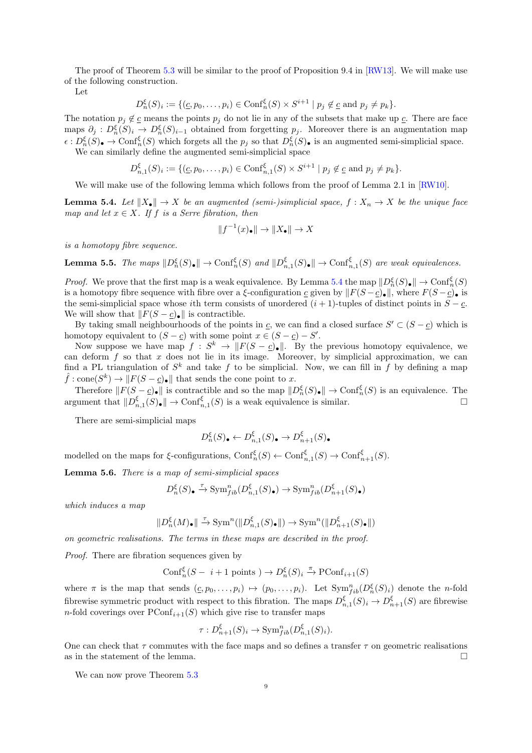<span id="page-8-3"></span>The proof of Theorem [5.3](#page-7-0) will be similar to the proof of Proposition 9.4 in [\[RW13\]](#page-9-6). We will make use of the following construction.

Let

$$
D_n^{\xi}(S)_i := \{ (c, p_0, \dots, p_i) \in \text{Conf}_n^{\xi}(S) \times S^{i+1} \mid p_j \notin \underline{c} \text{ and } p_j \neq p_k \}.
$$

The notation  $p_j \notin \underline{c}$  means the points  $p_j$  do not lie in any of the subsets that make up  $\underline{c}$ . There are face maps  $\partial_j : D_n^{\xi}(S)_i \to D_n^{\xi}(S)_{i-1}$  obtained from forgetting  $p_j$ . Moreover there is an augmentation map  $\epsilon: D_n^{\xi}(S)$   $\rightarrow$  Conf $_n^{\xi}(S)$  which forgets all the  $p_j$  so that  $D_n^{\xi}(S)$  is an augmented semi-simplicial space. We can similarly define the augmented semi-simplicial space

$$
D_{n,1}^{\xi}(S)_i := \{ (c, p_0, \dots, p_i) \in \text{Conf}_{n,1}^{\xi}(S) \times S^{i+1} \mid p_j \notin c \text{ and } p_j \neq p_k \}.
$$

We will make use of the following lemma which follows from the proof of Lemma 2.1 in [\[RW10\]](#page-9-15).

<span id="page-8-0"></span>**Lemma 5.4.** Let  $||X_{\bullet}|| \to X$  be an augmented (semi-)simplicial space,  $f : X_n \to X$  be the unique face map and let  $x \in X$ . If f is a Serre fibration, then

$$
||f^{-1}(x)_\bullet|| \to ||X_\bullet|| \to X
$$

is a homotopy fibre sequence.

<span id="page-8-2"></span>**Lemma 5.5.** The maps  $||D_n^{\xi}(S)_{\bullet}|| \to \text{Conf}_n^{\xi}(S)$  and  $||D_{n,1}^{\xi}(S)_{\bullet}|| \to \text{Conf}_{n,1}^{\xi}(S)$  are weak equivalences.

*Proof.* We prove that the first map is a weak equivalence. By Lemma [5.4](#page-8-0) the map  $||D_n^{\xi}(S)_{\bullet}|| \to \text{Conf}_n^{\xi}(S)$ is a homotopy fibre sequence with fibre over a  $\xi$ -configuration c given by  $||F(S - c)_\bullet||$ , where  $F(S - c)_\bullet$  is the semi-simplicial space whose ith term consists of unordered  $(i + 1)$ -tuples of distinct points in  $S - c$ . We will show that  $||F(S - \underline{c})_{\bullet}||$  is contractible.

By taking small neighbourhoods of the points in  $c$ , we can find a closed surface  $S' \subset (S - c)$  which is homotopy equivalent to  $(S - \underline{c})$  with some point  $x \in (S - \underline{c}) - S'$ .

Now suppose we have map  $f: S^k \to ||F(S - \underline{c})_{\bullet}||$ . By the previous homotopy equivalence, we can deform  $f$  so that  $x$  does not lie in its image. Moreover, by simplicial approximation, we can find a PL triangulation of  $S^k$  and take f to be simplicial. Now, we can fill in f by defining a map  $\hat{f} : \text{cone}(S^k) \to ||F(S - \underline{c})_{\bullet}||$  that sends the cone point to x.

Therefore  $||F(S - \underline{c})_{\bullet}||$  is contractible and so the map  $||D_n^{\xi}(S)_{\bullet}|| \to \text{Conf}_n^{\xi}(S)$  is an equivalence. The argument that  $||D_{n,1}^{\xi}(S)\bullet|| \to \text{Conf}_{n,1}^{\xi}(S)$  is a weak equivalence is similar.

There are semi-simplicial maps

$$
D_n^{\xi}(S)_\bullet \leftarrow D_{n,1}^{\xi}(S)_\bullet \rightarrow D_{n+1}^{\xi}(S)_\bullet
$$

modelled on the maps for  $\xi$ -configurations,  $\text{Conf}_n^{\xi}(S) \leftarrow \text{Conf}_{n,1}^{\xi}(S) \rightarrow \text{Conf}_{n+1}^{\xi}(S)$ .

<span id="page-8-1"></span>Lemma 5.6. There is a map of semi-simplicial spaces

$$
D^{\xi}_n(S)_\bullet \xrightarrow{\tau} \mathrm{Sym}^n_{fib}(D^{\xi}_{n,1}(S)_\bullet) \to \mathrm{Sym}^n_{fib}(D^{\xi}_{n+1}(S)_\bullet)
$$

which induces a map

$$
\|D_n^\xi(M)_\bullet\|\xrightarrow{\tau}{\rm Sym}^n(\|D_{n,1}^\xi(S)_\bullet\|)\to {\rm Sym}^n(\|D_{n+1}^\xi(S)_\bullet\|)
$$

on geometric realisations. The terms in these maps are described in the proof.

Proof. There are fibration sequences given by

$$
Conf_n^{\xi}(S - i + 1 \text{ points}) \to D_n^{\xi}(S)_i \xrightarrow{\pi} \text{PConf}_{i+1}(S)
$$

where  $\pi$  is the map that sends  $(c, p_0, \ldots, p_i) \mapsto (p_0, \ldots, p_i)$ . Let  $Sym_{fib}^n(D_h^{\xi}(S)_i)$  denote the *n*-fold fibrewise symmetric product with respect to this fibration. The maps  $D^{\xi}_{n,1}(S)_i \to D^{\xi}_{n+1}(S)$  are fibrewise *n*-fold coverings over  $PConf_{i+1}(S)$  which give rise to transfer maps

$$
\tau: D_{n+1}^{\xi}(S)_i \to \operatorname{Sym}_{fib}^n(D_{n,1}^{\xi}(S)_i).
$$

One can check that  $\tau$  commutes with the face maps and so defines a transfer  $\tau$  on geometric realisations as in the statement of the lemma.  $\Box$ 

We can now prove Theorem  $5.3$